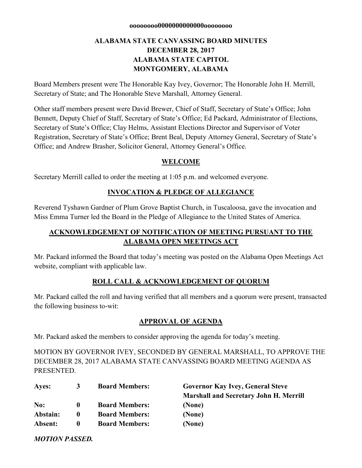#### **oooooooo0000000000000oooooooo**

# **ALABAMA STATE CANVASSING BOARD MINUTES DECEMBER 28, 2017 ALABAMA STATE CAPITOL MONTGOMERY, ALABAMA**

Board Members present were The Honorable Kay Ivey, Governor; The Honorable John H. Merrill, Secretary of State; and The Honorable Steve Marshall, Attorney General.

Other staff members present were David Brewer, Chief of Staff, Secretary of State's Office; John Bennett, Deputy Chief of Staff, Secretary of State's Office; Ed Packard, Administrator of Elections, Secretary of State's Office; Clay Helms, Assistant Elections Director and Supervisor of Voter Registration, Secretary of State's Office; Brent Beal, Deputy Attorney General, Secretary of State's Office; and Andrew Brasher, Solicitor General, Attorney General's Office.

## **WELCOME**

Secretary Merrill called to order the meeting at 1:05 p.m. and welcomed everyone.

## **INVOCATION & PLEDGE OF ALLEGIANCE**

Reverend Tyshawn Gardner of Plum Grove Baptist Church, in Tuscaloosa, gave the invocation and Miss Emma Turner led the Board in the Pledge of Allegiance to the United States of America.

# **ACKNOWLEDGEMENT OF NOTIFICATION OF MEETING PURSUANT TO THE ALABAMA OPEN MEETINGS ACT**

Mr. Packard informed the Board that today's meeting was posted on the Alabama Open Meetings Act website, compliant with applicable law.

## **ROLL CALL & ACKNOWLEDGEMENT OF QUORUM**

Mr. Packard called the roll and having verified that all members and a quorum were present, transacted the following business to-wit:

#### **APPROVAL OF AGENDA**

Mr. Packard asked the members to consider approving the agenda for today's meeting.

MOTION BY GOVERNOR IVEY, SECONDED BY GENERAL MARSHALL, TO APPROVE THE DECEMBER 28, 2017 ALABAMA STATE CANVASSING BOARD MEETING AGENDA AS PRESENTED.

| Ayes:    | 3            | <b>Board Members:</b> | <b>Governor Kay Ivey, General Steve</b>       |
|----------|--------------|-----------------------|-----------------------------------------------|
|          |              |                       | <b>Marshall and Secretary John H. Merrill</b> |
| No:      | $\mathbf{0}$ | <b>Board Members:</b> | (None)                                        |
| Abstain: | $\mathbf 0$  | <b>Board Members:</b> | (None)                                        |
| Absent:  | 0            | <b>Board Members:</b> | (None)                                        |

*MOTION PASSED.*